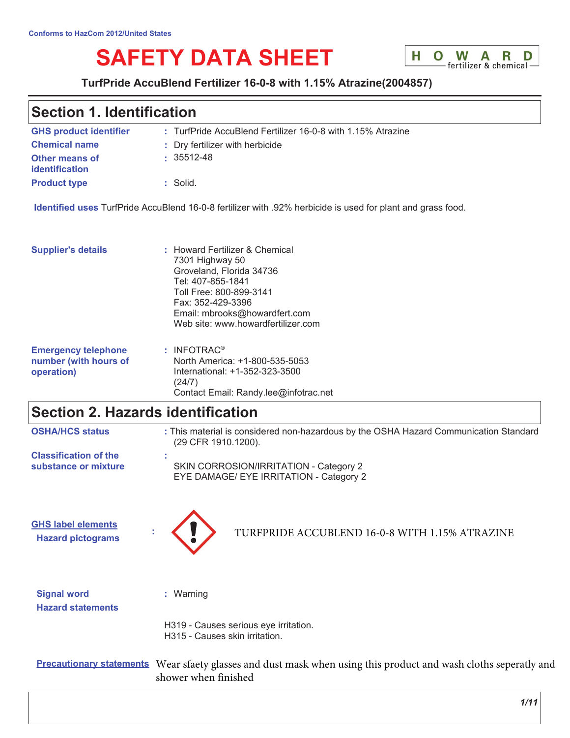# **SAFETY DATA SHEET**



### TurfPride AccuBlend Fertilizer 16-0-8 with 1.15% Atrazine(2004857)

### **Section 1. Identification**

| <b>GHS product identifier</b>                  | : TurfPride AccuBlend Fertilizer 16-0-8 with 1.15% Atrazine |
|------------------------------------------------|-------------------------------------------------------------|
| <b>Chemical name</b>                           | : Dry fertilizer with herbicide                             |
| <b>Other means of</b><br><b>identification</b> | $: 35512 - 48$                                              |
| <b>Product type</b>                            | $\therefore$ Solid.                                         |

Identified uses TurfPride AccuBlend 16-0-8 fertilizer with .92% herbicide is used for plant and grass food.

Contact Email: Randy.lee@infotrac.net

| <b>Supplier's details</b>  | : Howard Fertilizer & Chemical<br>7301 Highway 50<br>Groveland, Florida 34736<br>Tel: 407-855-1841<br>Toll Free: 800-899-3141<br>Fax: 352-429-3396<br>Email: mbrooks@howardfert.com<br>Web site: www.howardfertilizer.com |
|----------------------------|---------------------------------------------------------------------------------------------------------------------------------------------------------------------------------------------------------------------------|
| <b>Emergency telephone</b> | $:$ INFOTRAC <sup>®</sup>                                                                                                                                                                                                 |
| number (with hours of      | North America: +1-800-535-5053                                                                                                                                                                                            |
| operation)                 | International: +1-352-323-3500                                                                                                                                                                                            |

 $(24/7)$ 

# **Section 2. Hazards identification**

**Hazard statements** 

| <b>OSHA/HCS status</b>                                | : This material is considered non-hazardous by the OSHA Hazard Communication Standard<br>(29 CFR 1910.1200). |
|-------------------------------------------------------|--------------------------------------------------------------------------------------------------------------|
| <b>Classification of the</b><br>substance or mixture  | SKIN CORROSION/IRRITATION - Category 2<br>EYE DAMAGE/ EYE IRRITATION - Category 2                            |
| <b>GHS label elements</b><br><b>Hazard pictograms</b> | TURFPRIDE ACCUBLEND 16-0-8 WITH 1.15% ATRAZINE                                                               |
| <b>Signal word</b>                                    | Warning                                                                                                      |

H319 - Causes serious eye irritation. H315 - Causes skin irritation.

Precautionary statements Wear sfaety glasses and dust mask when using this product and wash cloths seperatly and shower when finished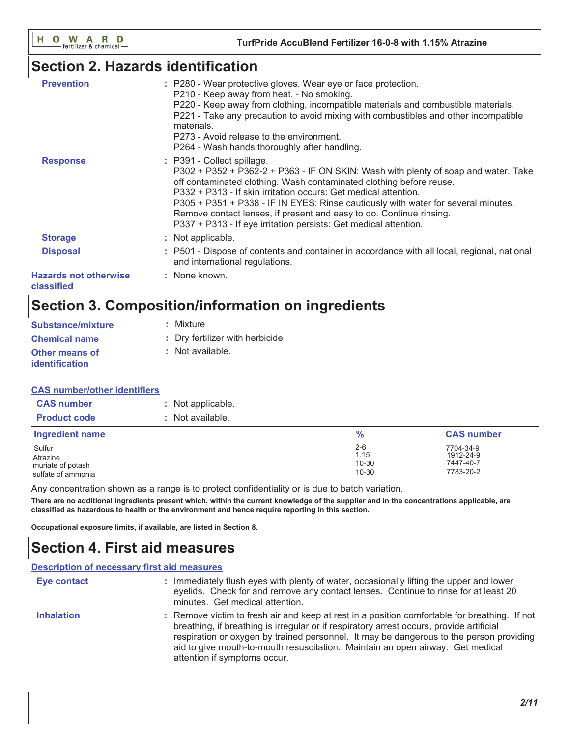# **Section 2. Hazards identification**

| <b>Prevention</b>                          | : P280 - Wear protective gloves. Wear eye or face protection.<br>P210 - Keep away from heat. - No smoking.<br>P220 - Keep away from clothing, incompatible materials and combustible materials.<br>P221 - Take any precaution to avoid mixing with combustibles and other incompatible<br>materials.<br>P273 - Avoid release to the environment.<br>P264 - Wash hands thoroughly after handling.                                                                                           |
|--------------------------------------------|--------------------------------------------------------------------------------------------------------------------------------------------------------------------------------------------------------------------------------------------------------------------------------------------------------------------------------------------------------------------------------------------------------------------------------------------------------------------------------------------|
| <b>Response</b>                            | : P391 - Collect spillage.<br>P302 + P352 + P362-2 + P363 - IF ON SKIN: Wash with plenty of soap and water. Take<br>off contaminated clothing. Wash contaminated clothing before reuse.<br>P332 + P313 - If skin irritation occurs: Get medical attention.<br>P305 + P351 + P338 - IF IN EYES: Rinse cautiously with water for several minutes.<br>Remove contact lenses, if present and easy to do. Continue rinsing.<br>P337 + P313 - If eye irritation persists: Get medical attention. |
| <b>Storage</b>                             | : Not applicable.                                                                                                                                                                                                                                                                                                                                                                                                                                                                          |
| <b>Disposal</b>                            | : P501 - Dispose of contents and container in accordance with all local, regional, national<br>and international regulations.                                                                                                                                                                                                                                                                                                                                                              |
| <b>Hazards not otherwise</b><br>classified | : None known.                                                                                                                                                                                                                                                                                                                                                                                                                                                                              |

# Section 3. Composition/information on ingredients

| <b>Substance/mixture</b>                | : Mixture                       |
|-----------------------------------------|---------------------------------|
| <b>Chemical name</b>                    | : Dry fertilizer with herbicide |
| <b>Other means of</b><br>identification | : Not available.                |

### **CAS number/other identifiers**

| <b>CAS number</b>   | : Not applicable. |
|---------------------|-------------------|
| <b>Product code</b> | : Not available.  |

| Ingredient name    | $\frac{9}{6}$ | <b>CAS number</b> |
|--------------------|---------------|-------------------|
| Sulfur             | $2 - 6$       | 7704-34-9         |
| Atrazine           | 1.15          | 1912-24-9         |
| muriate of potash  | 10-30         | 7447-40-7         |
| sulfate of ammonia | 10-30         | 7783-20-2         |

Any concentration shown as a range is to protect confidentiality or is due to batch variation.

There are no additional ingredients present which, within the current knowledge of the supplier and in the concentrations applicable, are classified as hazardous to health or the environment and hence require reporting in this section.

Occupational exposure limits, if available, are listed in Section 8.

# **Section 4. First aid measures**

| <b>Description of necessary first aid measures</b> |                                                                                                                                                                                                                                                                                                                                                                                                        |
|----------------------------------------------------|--------------------------------------------------------------------------------------------------------------------------------------------------------------------------------------------------------------------------------------------------------------------------------------------------------------------------------------------------------------------------------------------------------|
| Eye contact                                        | : Immediately flush eyes with plenty of water, occasionally lifting the upper and lower<br>eyelids. Check for and remove any contact lenses. Continue to rinse for at least 20<br>minutes. Get medical attention.                                                                                                                                                                                      |
| <b>Inhalation</b>                                  | : Remove victim to fresh air and keep at rest in a position comfortable for breathing. If not<br>breathing, if breathing is irregular or if respiratory arrest occurs, provide artificial<br>respiration or oxygen by trained personnel. It may be dangerous to the person providing<br>aid to give mouth-to-mouth resuscitation. Maintain an open airway. Get medical<br>attention if symptoms occur. |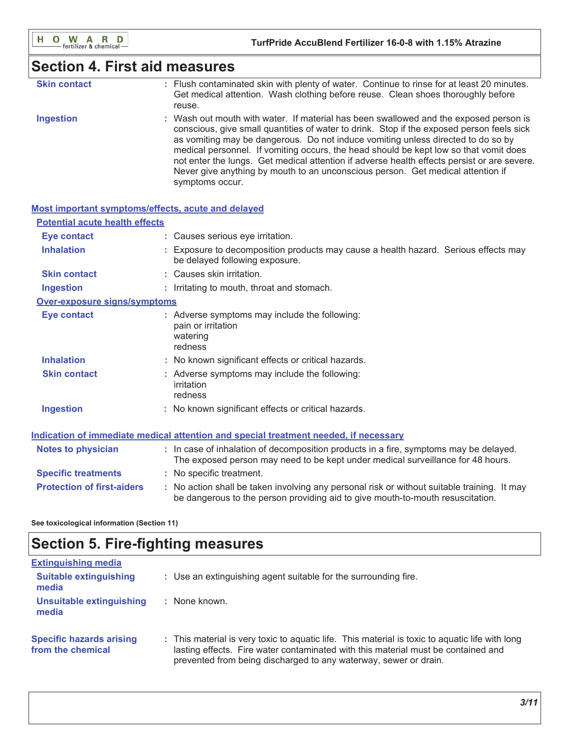### **Section 4. First aid measures**

| <b>Skin contact</b> | : Flush contaminated skin with plenty of water. Continue to rinse for at least 20 minutes. |
|---------------------|--------------------------------------------------------------------------------------------|
|                     | Get medical attention. Wash clothing before reuse. Clean shoes thoroughly before           |
|                     | reuse.                                                                                     |

**Ingestion** : Wash out mouth with water. If material has been swallowed and the exposed person is conscious, give small quantities of water to drink. Stop if the exposed person feels sick as vomiting may be dangerous. Do not induce vomiting unless directed to do so by medical personnel. If vomiting occurs, the head should be kept low so that vomit does not enter the lungs. Get medical attention if adverse health effects persist or are severe. Never give anything by mouth to an unconscious person. Get medical attention if symptoms occur.

| Most important symptoms/effects, acute and delayed |                                                                                                                                                                               |
|----------------------------------------------------|-------------------------------------------------------------------------------------------------------------------------------------------------------------------------------|
| <b>Potential acute health effects</b>              |                                                                                                                                                                               |
| <b>Eye contact</b>                                 | : Causes serious eye irritation.                                                                                                                                              |
| <b>Inhalation</b>                                  | : Exposure to decomposition products may cause a health hazard. Serious effects may<br>be delayed following exposure.                                                         |
| <b>Skin contact</b>                                | : Causes skin irritation.                                                                                                                                                     |
| <b>Ingestion</b>                                   | : Irritating to mouth, throat and stomach.                                                                                                                                    |
| Over-exposure signs/symptoms                       |                                                                                                                                                                               |
| <b>Eye contact</b>                                 | : Adverse symptoms may include the following:<br>pain or irritation<br>watering<br>redness                                                                                    |
| <b>Inhalation</b>                                  | : No known significant effects or critical hazards.                                                                                                                           |
| <b>Skin contact</b>                                | : Adverse symptoms may include the following:<br>irritation<br>redness                                                                                                        |
| <b>Ingestion</b>                                   | : No known significant effects or critical hazards.                                                                                                                           |
|                                                    | Indication of immediate medical attention and special treatment needed, if necessary                                                                                          |
| <b>Notes to physician</b>                          | : In case of inhalation of decomposition products in a fire, symptoms may be delayed.<br>The exposed person may need to be kept under medical surveillance for 48 hours.      |
| <b>Specific treatments</b>                         | : No specific treatment.                                                                                                                                                      |
| <b>Protection of first-aiders</b>                  | : No action shall be taken involving any personal risk or without suitable training. It may<br>be dangerous to the person providing aid to give mouth-to-mouth resuscitation. |

See toxicological information (Section 11)

# **Section 5. Fire-fighting measures**

| <b>Extinguishing media</b>                           |                                                                                                                                                                                                                                                          |
|------------------------------------------------------|----------------------------------------------------------------------------------------------------------------------------------------------------------------------------------------------------------------------------------------------------------|
| <b>Suitable extinguishing</b><br>media               | : Use an extinguishing agent suitable for the surrounding fire.                                                                                                                                                                                          |
| Unsuitable extinguishing<br>media                    | None known.                                                                                                                                                                                                                                              |
| <b>Specific hazards arising</b><br>from the chemical | : This material is very toxic to aguatic life. This material is toxic to aguatic life with long<br>lasting effects. Fire water contaminated with this material must be contained and<br>prevented from being discharged to any waterway, sewer or drain. |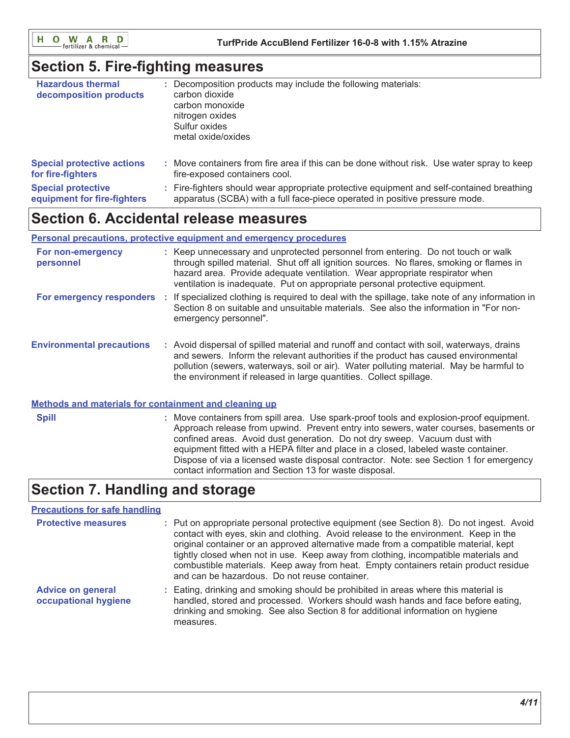O W A R D H.

### **Section 5. Fire-fighting measures**

| <b>Hazardous thermal</b><br>decomposition products | Decomposition products may include the following materials:<br>carbon dioxide<br>carbon monoxide<br>nitrogen oxides<br>Sulfur oxides<br>metal oxide/oxides |
|----------------------------------------------------|------------------------------------------------------------------------------------------------------------------------------------------------------------|
| <b>Special protective actions</b>                  | : Move containers from fire area if this can be done without risk. Use water spray to keep                                                                 |
| for fire-fighters                                  | fire-exposed containers cool.                                                                                                                              |
| <b>Special protective</b>                          | : Fire-fighters should wear appropriate protective equipment and self-contained breathing                                                                  |
| equipment for fire-fighters                        | apparatus (SCBA) with a full face-piece operated in positive pressure mode.                                                                                |

### **Section 6. Accidental release measures**

### Personal precautions, protective equipment and emergency procedures

| For non-emergency<br>personnel   | : Keep unnecessary and unprotected personnel from entering. Do not touch or walk<br>through spilled material. Shut off all ignition sources. No flares, smoking or flames in<br>hazard area. Provide adequate ventilation. Wear appropriate respirator when<br>ventilation is inadequate. Put on appropriate personal protective equipment.       |
|----------------------------------|---------------------------------------------------------------------------------------------------------------------------------------------------------------------------------------------------------------------------------------------------------------------------------------------------------------------------------------------------|
| For emergency responders :       | If specialized clothing is required to deal with the spillage, take note of any information in<br>Section 8 on suitable and unsuitable materials. See also the information in "For non-<br>emergency personnel".                                                                                                                                  |
| <b>Environmental precautions</b> | : Avoid dispersal of spilled material and runoff and contact with soil, waterways, drains<br>and sewers. Inform the relevant authorities if the product has caused environmental<br>pollution (sewers, waterways, soil or air). Water polluting material. May be harmful to<br>the environment if released in large quantities. Collect spillage. |

### Methods and materials for containment and cleaning up

: Move containers from spill area. Use spark-proof tools and explosion-proof equipment. **Spill** Approach release from upwind. Prevent entry into sewers, water courses, basements or confined areas. Avoid dust generation. Do not dry sweep. Vacuum dust with equipment fitted with a HEPA filter and place in a closed, labeled waste container. Dispose of via a licensed waste disposal contractor. Note: see Section 1 for emergency contact information and Section 13 for waste disposal.

# **Section 7. Handling and storage**

### **Precautions for safe handling**

| <b>Protective measures</b>                       | : Put on appropriate personal protective equipment (see Section 8). Do not ingest. Avoid<br>contact with eyes, skin and clothing. Avoid release to the environment. Keep in the<br>original container or an approved alternative made from a compatible material, kept<br>tightly closed when not in use. Keep away from clothing, incompatible materials and<br>combustible materials. Keep away from heat. Empty containers retain product residue<br>and can be hazardous. Do not reuse container. |
|--------------------------------------------------|-------------------------------------------------------------------------------------------------------------------------------------------------------------------------------------------------------------------------------------------------------------------------------------------------------------------------------------------------------------------------------------------------------------------------------------------------------------------------------------------------------|
| <b>Advice on general</b><br>occupational hygiene | : Eating, drinking and smoking should be prohibited in areas where this material is<br>handled, stored and processed. Workers should wash hands and face before eating,<br>drinking and smoking. See also Section 8 for additional information on hygiene<br>measures.                                                                                                                                                                                                                                |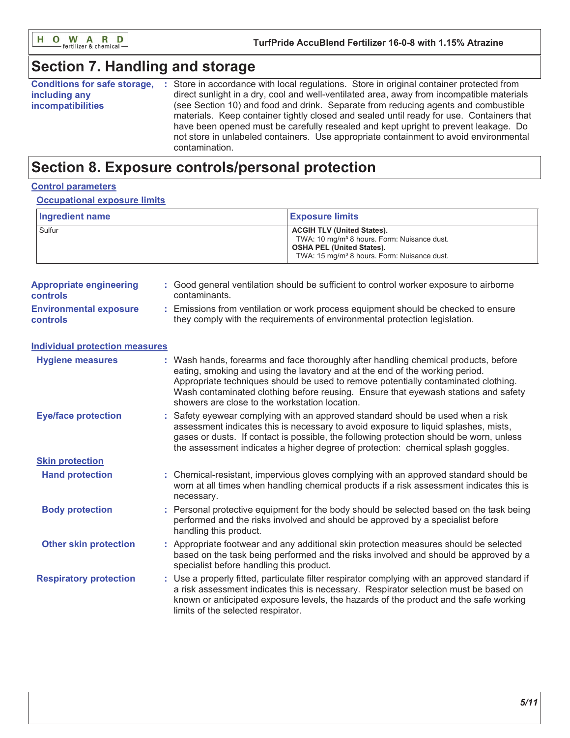

# **Section 7. Handling and storage**

| <b>Conditions for safe storage,</b> | Store in accordance with local regulations. Store in original container protected from    |
|-------------------------------------|-------------------------------------------------------------------------------------------|
| including any                       | direct sunlight in a dry, cool and well-ventilated area, away from incompatible materials |
| <i>incompatibilities</i>            | (see Section 10) and food and drink. Separate from reducing agents and combustible        |
|                                     | materials. Keep container tightly closed and sealed until ready for use. Containers that  |
|                                     | have been opened must be carefully resealed and kept upright to prevent leakage. Do       |
|                                     | not store in unlabeled containers. Use appropriate containment to avoid environmental     |
|                                     | contamination.                                                                            |

# Section 8. Exposure controls/personal protection

### **Control parameters**

### **Occupational exposure limits**

| Ingredient name | <b>Exposure limits</b>                                                                                                                                                                      |
|-----------------|---------------------------------------------------------------------------------------------------------------------------------------------------------------------------------------------|
| Sulfur          | <b>ACGIH TLV (United States).</b><br>TWA: 10 mg/m <sup>3</sup> 8 hours. Form: Nuisance dust.<br><b>OSHA PEL (United States).</b><br>TWA: 15 mg/m <sup>3</sup> 8 hours. Form: Nuisance dust. |

| <b>Appropriate engineering</b><br><b>controls</b> | : Good general ventilation should be sufficient to control worker exposure to airborne<br>contaminants.                                                        |
|---------------------------------------------------|----------------------------------------------------------------------------------------------------------------------------------------------------------------|
| <b>Environmental exposure</b><br><b>controls</b>  | Emissions from ventilation or work process equipment should be checked to ensure<br>they comply with the requirements of environmental protection legislation. |

| Individual protection measures |  |
|--------------------------------|--|
|                                |  |

| <b>Hygiene measures</b>       | : Wash hands, forearms and face thoroughly after handling chemical products, before<br>eating, smoking and using the lavatory and at the end of the working period.<br>Appropriate techniques should be used to remove potentially contaminated clothing.<br>Wash contaminated clothing before reusing. Ensure that eyewash stations and safety<br>showers are close to the workstation location. |  |  |  |
|-------------------------------|---------------------------------------------------------------------------------------------------------------------------------------------------------------------------------------------------------------------------------------------------------------------------------------------------------------------------------------------------------------------------------------------------|--|--|--|
| <b>Eye/face protection</b>    | : Safety eyewear complying with an approved standard should be used when a risk<br>assessment indicates this is necessary to avoid exposure to liquid splashes, mists,<br>gases or dusts. If contact is possible, the following protection should be worn, unless<br>the assessment indicates a higher degree of protection: chemical splash goggles.                                             |  |  |  |
| <b>Skin protection</b>        |                                                                                                                                                                                                                                                                                                                                                                                                   |  |  |  |
| <b>Hand protection</b>        | : Chemical-resistant, impervious gloves complying with an approved standard should be<br>worn at all times when handling chemical products if a risk assessment indicates this is<br>necessary.                                                                                                                                                                                                   |  |  |  |
| <b>Body protection</b>        | : Personal protective equipment for the body should be selected based on the task being<br>performed and the risks involved and should be approved by a specialist before<br>handling this product.                                                                                                                                                                                               |  |  |  |
| <b>Other skin protection</b>  | : Appropriate footwear and any additional skin protection measures should be selected<br>based on the task being performed and the risks involved and should be approved by a<br>specialist before handling this product.                                                                                                                                                                         |  |  |  |
| <b>Respiratory protection</b> | : Use a properly fitted, particulate filter respirator complying with an approved standard if<br>a risk assessment indicates this is necessary. Respirator selection must be based on<br>known or anticipated exposure levels, the hazards of the product and the safe working<br>limits of the selected respirator.                                                                              |  |  |  |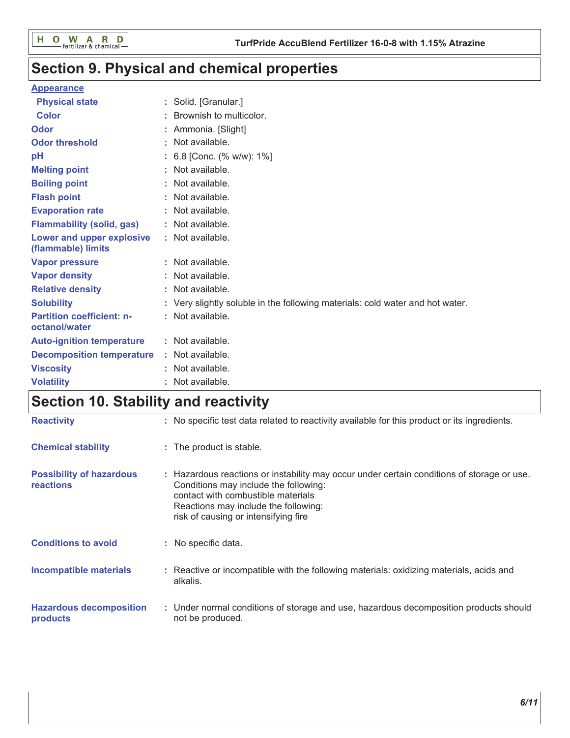# Section 9. Physical and chemical properties

### **Appearance**

| <b>Physical state</b>                             | : Solid. [Granular.]                                                          |
|---------------------------------------------------|-------------------------------------------------------------------------------|
| <b>Color</b>                                      | Brownish to multicolor.                                                       |
| <b>Odor</b>                                       | Ammonia. [Slight]                                                             |
| <b>Odor threshold</b>                             | Not available.                                                                |
| рH                                                | 6.8 [Conc. (% w/w): 1%]                                                       |
| <b>Melting point</b>                              | Not available.                                                                |
| <b>Boiling point</b>                              | : Not available.                                                              |
| <b>Flash point</b>                                | : Not available.                                                              |
| <b>Evaporation rate</b>                           | : Not available.                                                              |
| <b>Flammability (solid, gas)</b>                  | : Not available.                                                              |
| Lower and upper explosive<br>(flammable) limits   | : Not available.                                                              |
| <b>Vapor pressure</b>                             | : Not available.                                                              |
| <b>Vapor density</b>                              | : Not available.                                                              |
| <b>Relative density</b>                           | Not available.                                                                |
| <b>Solubility</b>                                 | : Very slightly soluble in the following materials: cold water and hot water. |
| <b>Partition coefficient: n-</b><br>octanol/water | : Not available.                                                              |
| <b>Auto-ignition temperature</b>                  | : Not available.                                                              |
| <b>Decomposition temperature</b>                  | : Not available.                                                              |
| <b>Viscosity</b>                                  | Not available.                                                                |
| <b>Volatility</b>                                 | Not available.                                                                |

# Section 10. Stability and reactivity

| <b>Reactivity</b>                                   | : No specific test data related to reactivity available for this product or its ingredients.                                                                                                                                                              |
|-----------------------------------------------------|-----------------------------------------------------------------------------------------------------------------------------------------------------------------------------------------------------------------------------------------------------------|
| <b>Chemical stability</b>                           | : The product is stable.                                                                                                                                                                                                                                  |
| <b>Possibility of hazardous</b><br><b>reactions</b> | : Hazardous reactions or instability may occur under certain conditions of storage or use.<br>Conditions may include the following:<br>contact with combustible materials<br>Reactions may include the following:<br>risk of causing or intensifying fire |
| <b>Conditions to avoid</b>                          | : No specific data.                                                                                                                                                                                                                                       |
| <b>Incompatible materials</b>                       | : Reactive or incompatible with the following materials: oxidizing materials, acids and<br>alkalis.                                                                                                                                                       |
| <b>Hazardous decomposition</b><br>products          | : Under normal conditions of storage and use, hazardous decomposition products should<br>not be produced.                                                                                                                                                 |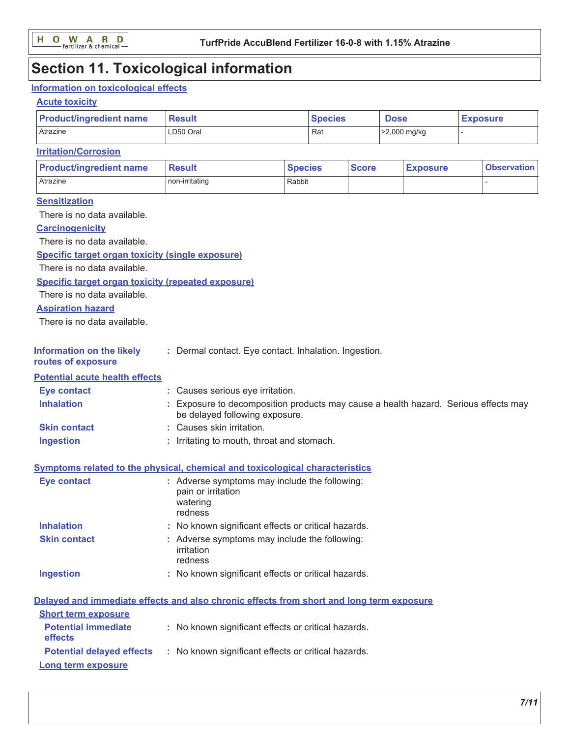# **Section 11. Toxicological information**

### Information on toxicological effects

### **Acute toxicity**

| <b>Product/ingredient name</b>                                                           | <b>Result</b>                                                                                                         |                                  | <b>Species</b> |              | <b>Dose</b>     |              | <b>Exposure</b>    |  |  |
|------------------------------------------------------------------------------------------|-----------------------------------------------------------------------------------------------------------------------|----------------------------------|----------------|--------------|-----------------|--------------|--------------------|--|--|
| Atrazine                                                                                 | LD50 Oral                                                                                                             |                                  | Rat            |              |                 | >2,000 mg/kg |                    |  |  |
| <b>Irritation/Corrosion</b>                                                              |                                                                                                                       |                                  |                |              |                 |              |                    |  |  |
| <b>Product/ingredient name</b>                                                           | <b>Result</b>                                                                                                         | <b>Species</b>                   |                | <b>Score</b> | <b>Exposure</b> |              | <b>Observation</b> |  |  |
| Atrazine                                                                                 | non-irritating                                                                                                        | Rabbit                           |                |              |                 |              |                    |  |  |
| <b>Sensitization</b>                                                                     |                                                                                                                       |                                  |                |              |                 |              |                    |  |  |
| There is no data available.                                                              |                                                                                                                       |                                  |                |              |                 |              |                    |  |  |
| <b>Carcinogenicity</b>                                                                   |                                                                                                                       |                                  |                |              |                 |              |                    |  |  |
| There is no data available.                                                              |                                                                                                                       |                                  |                |              |                 |              |                    |  |  |
|                                                                                          | Specific target organ toxicity (single exposure)                                                                      |                                  |                |              |                 |              |                    |  |  |
| There is no data available.                                                              |                                                                                                                       |                                  |                |              |                 |              |                    |  |  |
| <b>Specific target organ toxicity (repeated exposure)</b>                                |                                                                                                                       |                                  |                |              |                 |              |                    |  |  |
| There is no data available.                                                              |                                                                                                                       |                                  |                |              |                 |              |                    |  |  |
| <b>Aspiration hazard</b>                                                                 |                                                                                                                       |                                  |                |              |                 |              |                    |  |  |
| There is no data available.                                                              |                                                                                                                       |                                  |                |              |                 |              |                    |  |  |
| <b>Information on the likely</b><br>routes of exposure                                   | : Dermal contact. Eye contact. Inhalation. Ingestion.                                                                 |                                  |                |              |                 |              |                    |  |  |
| <b>Potential acute health effects</b>                                                    |                                                                                                                       |                                  |                |              |                 |              |                    |  |  |
| <b>Eye contact</b>                                                                       |                                                                                                                       | : Causes serious eye irritation. |                |              |                 |              |                    |  |  |
| <b>Inhalation</b>                                                                        | : Exposure to decomposition products may cause a health hazard. Serious effects may<br>be delayed following exposure. |                                  |                |              |                 |              |                    |  |  |
| <b>Skin contact</b>                                                                      | : Causes skin irritation.                                                                                             |                                  |                |              |                 |              |                    |  |  |
| <b>Ingestion</b>                                                                         | : Irritating to mouth, throat and stomach.                                                                            |                                  |                |              |                 |              |                    |  |  |
| <b>Symptoms related to the physical, chemical and toxicological characteristics</b>      |                                                                                                                       |                                  |                |              |                 |              |                    |  |  |
| <b>Eye contact</b>                                                                       | : Adverse symptoms may include the following:<br>pain or irritation<br>watering<br>redness                            |                                  |                |              |                 |              |                    |  |  |
| <b>Inhalation</b>                                                                        | : No known significant effects or critical hazards.                                                                   |                                  |                |              |                 |              |                    |  |  |
| <b>Skin contact</b>                                                                      | : Adverse symptoms may include the following:<br>irritation<br>redness                                                |                                  |                |              |                 |              |                    |  |  |
| <b>Ingestion</b>                                                                         | : No known significant effects or critical hazards.                                                                   |                                  |                |              |                 |              |                    |  |  |
| Delayed and immediate effects and also chronic effects from short and long term exposure |                                                                                                                       |                                  |                |              |                 |              |                    |  |  |
| <b>Short term exposure</b>                                                               |                                                                                                                       |                                  |                |              |                 |              |                    |  |  |
| <b>Potential immediate</b><br>effects                                                    | : No known significant effects or critical hazards.                                                                   |                                  |                |              |                 |              |                    |  |  |
| <b>Potential delayed effects</b>                                                         | : No known significant effects or critical hazards.                                                                   |                                  |                |              |                 |              |                    |  |  |
| Long term exposure                                                                       |                                                                                                                       |                                  |                |              |                 |              |                    |  |  |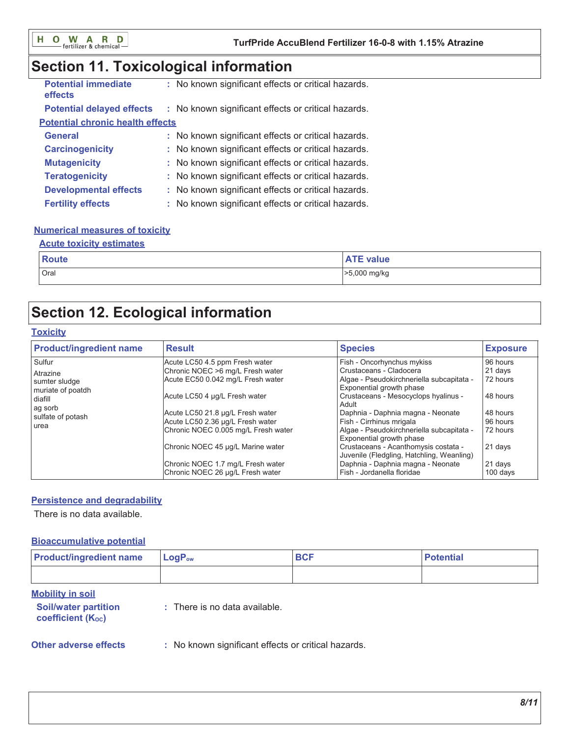# Section 11. Toxicological information

| <b>Potential immediate</b><br>effects   | : No known significant effects or critical hazards. |
|-----------------------------------------|-----------------------------------------------------|
| <b>Potential delayed effects</b>        | : No known significant effects or critical hazards. |
| <b>Potential chronic health effects</b> |                                                     |
| <b>General</b>                          | : No known significant effects or critical hazards. |
| <b>Carcinogenicity</b>                  | : No known significant effects or critical hazards. |
| <b>Mutagenicity</b>                     | : No known significant effects or critical hazards. |
| <b>Teratogenicity</b>                   | : No known significant effects or critical hazards. |
| <b>Developmental effects</b>            | : No known significant effects or critical hazards. |
| <b>Fertility effects</b>                | : No known significant effects or critical hazards. |

### **Numerical measures of toxicity**

### **Acute toxicity estimates**

| <b>Route</b> | <b>ATE value</b> |
|--------------|------------------|
| Oral         | >5,000 mg/kg     |

# **Section 12. Ecological information**

### **Toxicity**

| <b>Product/ingredient name</b>                                                                              | <b>Result</b>                                                                                                                                                                                                                                                                                                                                                         | <b>Species</b>                                                                                                                                                                                                                                                                                                                                                                                                                                                                    | <b>Exposure</b>                                                                                                   |
|-------------------------------------------------------------------------------------------------------------|-----------------------------------------------------------------------------------------------------------------------------------------------------------------------------------------------------------------------------------------------------------------------------------------------------------------------------------------------------------------------|-----------------------------------------------------------------------------------------------------------------------------------------------------------------------------------------------------------------------------------------------------------------------------------------------------------------------------------------------------------------------------------------------------------------------------------------------------------------------------------|-------------------------------------------------------------------------------------------------------------------|
| Sulfur<br>Atrazine<br>sumter sludge<br>muriate of poatdh<br>diafill<br>ag sorb<br>sulfate of potash<br>urea | Acute LC50 4.5 ppm Fresh water<br>Chronic NOEC >6 mg/L Fresh water<br>Acute EC50 0.042 mg/L Fresh water<br>Acute LC50 4 µg/L Fresh water<br>Acute LC50 21.8 µg/L Fresh water<br>Acute LC50 2.36 µg/L Fresh water<br>Chronic NOEC 0.005 mg/L Fresh water<br>Chronic NOEC 45 µg/L Marine water<br>Chronic NOEC 1.7 mg/L Fresh water<br>Chronic NOEC 26 µg/L Fresh water | Fish - Oncorhynchus mykiss<br>Crustaceans - Cladocera<br>Algae - Pseudokirchneriella subcapitata -<br>Exponential growth phase<br>Crustaceans - Mesocyclops hyalinus -<br>Adult<br>Daphnia - Daphnia magna - Neonate<br>Fish - Cirrhinus mrigala<br>Algae - Pseudokirchneriella subcapitata -<br>Exponential growth phase<br>Crustaceans - Acanthomysis costata -<br>Juvenile (Fledgling, Hatchling, Weanling)<br>Daphnia - Daphnia magna - Neonate<br>Fish - Jordanella floridae | 96 hours<br>21 days<br>72 hours<br>48 hours<br>48 hours<br>96 hours<br>72 hours<br>21 days<br>21 days<br>100 days |

### **Persistence and degradability**

There is no data available.

### **Bioaccumulative potential**

| <b>Product/ingredient name</b>                                                     | $LogP_{ow}$                                         | <b>BCF</b> | <b>Potential</b> |
|------------------------------------------------------------------------------------|-----------------------------------------------------|------------|------------------|
|                                                                                    |                                                     |            |                  |
| <b>Mobility in soil</b><br><b>Soil/water partition</b><br><b>coefficient (Koc)</b> | : There is no data available.                       |            |                  |
| <b>Other adverse effects</b>                                                       | : No known significant effects or critical hazards. |            |                  |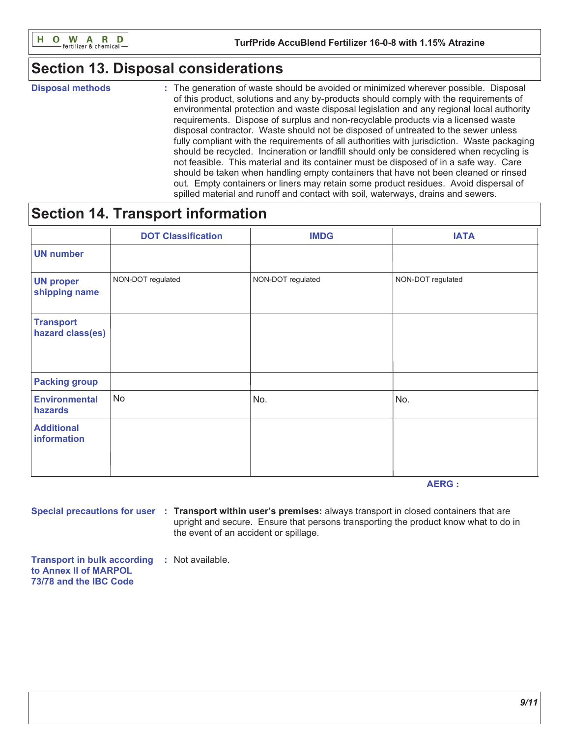

## **Section 13. Disposal considerations**

**Disposal methods** 

: The generation of waste should be avoided or minimized wherever possible. Disposal of this product, solutions and any by-products should comply with the requirements of environmental protection and waste disposal legislation and any regional local authority requirements. Dispose of surplus and non-recyclable products via a licensed waste disposal contractor. Waste should not be disposed of untreated to the sewer unless fully compliant with the requirements of all authorities with jurisdiction. Waste packaging should be recycled. Incineration or landfill should only be considered when recycling is not feasible. This material and its container must be disposed of in a safe way. Care should be taken when handling empty containers that have not been cleaned or rinsed out. Empty containers or liners may retain some product residues. Avoid dispersal of spilled material and runoff and contact with soil, waterways, drains and sewers.

## **Section 14. Transport information**

|                                      | <b>DOT Classification</b> | <b>IMDG</b>       | <b>IATA</b>       |
|--------------------------------------|---------------------------|-------------------|-------------------|
| <b>UN number</b>                     |                           |                   |                   |
| <b>UN proper</b><br>shipping name    | NON-DOT regulated         | NON-DOT regulated | NON-DOT regulated |
| <b>Transport</b><br>hazard class(es) |                           |                   |                   |
| <b>Packing group</b>                 |                           |                   |                   |
| <b>Environmental</b><br>hazards      | No                        | No.               | No.               |
| <b>Additional</b><br>information     |                           |                   |                   |

**AERG:** 

Special precautions for user : Transport within user's premises: always transport in closed containers that are upright and secure. Ensure that persons transporting the product know what to do in the event of an accident or spillage.

**Transport in bulk according : Not available.** to Annex II of MARPOL 73/78 and the IBC Code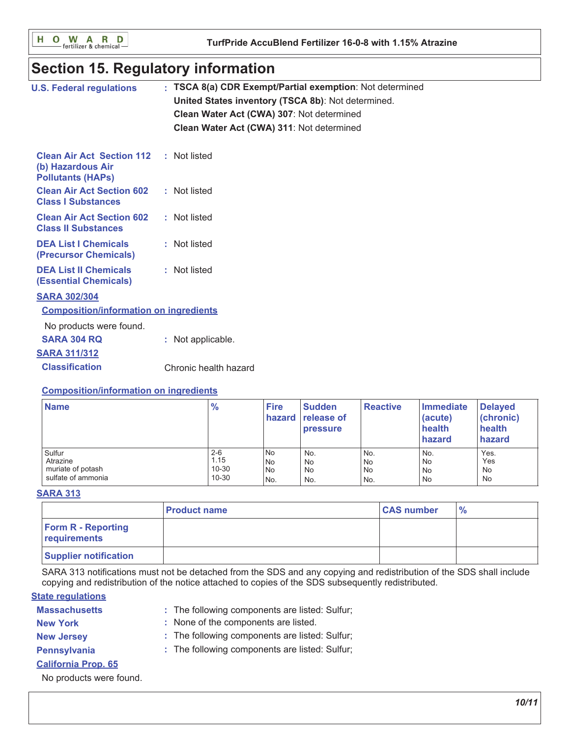O W A R D<br>
Fertilizer & chemicalн

# **Section 15. Regulatory information**

| <b>U.S. Federal regulations</b>                                                   | : TSCA 8(a) CDR Exempt/Partial exemption: Not determined<br>United States inventory (TSCA 8b): Not determined.<br>Clean Water Act (CWA) 307: Not determined<br>Clean Water Act (CWA) 311: Not determined |
|-----------------------------------------------------------------------------------|----------------------------------------------------------------------------------------------------------------------------------------------------------------------------------------------------------|
| <b>Clean Air Act Section 112</b><br>(b) Hazardous Air<br><b>Pollutants (HAPS)</b> | : Not listed                                                                                                                                                                                             |
| <b>Clean Air Act Section 602</b><br><b>Class I Substances</b>                     | : Not listed                                                                                                                                                                                             |
| <b>Clean Air Act Section 602</b><br><b>Class II Substances</b>                    | : Not listed                                                                                                                                                                                             |
| <b>DEA List I Chemicals</b><br>(Precursor Chemicals)                              | : Not listed                                                                                                                                                                                             |
| <b>DEA List II Chemicals</b><br><b>(Essential Chemicals)</b>                      | : Not listed                                                                                                                                                                                             |
| <b>SARA 302/304</b>                                                               |                                                                                                                                                                                                          |
| <b>Composition/information on ingredients</b>                                     |                                                                                                                                                                                                          |
| No products were found.                                                           |                                                                                                                                                                                                          |
| <b>SARA 304 RQ</b>                                                                | : Not applicable.                                                                                                                                                                                        |
| <b>SARA 311/312</b>                                                               |                                                                                                                                                                                                          |
| <b>Classification</b>                                                             | Chronic health hazard                                                                                                                                                                                    |
|                                                                                   |                                                                                                                                                                                                          |

### **Composition/information on ingredients**

| <b>Name</b>        | $\frac{9}{6}$ | <b>Fire</b> | <b>Sudden</b><br>hazard release of<br><b>pressure</b> | <b>Reactive</b> | Immediate<br>(acute)<br>health<br>hazard | <b>Delayed</b><br>(chronic)<br>health<br>hazard |
|--------------------|---------------|-------------|-------------------------------------------------------|-----------------|------------------------------------------|-------------------------------------------------|
| Sulfur             | $2 - 6$       | No          | No.                                                   | No.             | No.                                      | Yes.                                            |
| Atrazine           | 1.15          | No          | No                                                    | ı No            | <b>No</b>                                | Yes                                             |
| muriate of potash  | $10 - 30$     | No          | No                                                    | <b>No</b>       | <b>No</b>                                | No                                              |
| sulfate of ammonia | $10 - 30$     | 'No.        | No.                                                   | No.             | <b>No</b>                                | No                                              |

### **SARA 313**

|                                           | <b>Product name</b> | <b>CAS number</b> | $\frac{6}{6}$ |
|-------------------------------------------|---------------------|-------------------|---------------|
| <b>Form R - Reporting</b><br>requirements |                     |                   |               |
| <b>Supplier notification</b>              |                     |                   |               |

SARA 313 notifications must not be detached from the SDS and any copying and redistribution of the SDS shall include copying and redistribution of the notice attached to copies of the SDS subsequently redistributed.

### **State regulations**

| <b>Massachusetts</b> | : The following components are listed: Sulfur |
|----------------------|-----------------------------------------------|
|----------------------|-----------------------------------------------|

- : None of the components are listed. **New York**
- **New Jersey**
- : The following components are listed: Sulfur;
- Pennsylvania
- : The following components are listed: Sulfur;
- **California Prop. 65**

No products were found.